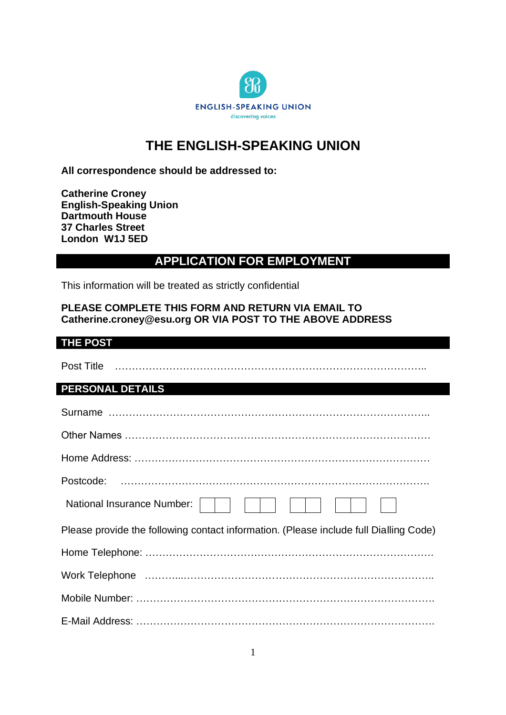

# **THE ENGLISH-SPEAKING UNION**

**All correspondence should be addressed to:**

**Catherine Croney English-Speaking Union Dartmouth House 37 Charles Street London W1J 5ED**

## **APPLICATION FOR EMPLOYMENT**

This information will be treated as strictly confidential

### **PLEASE COMPLETE THIS FORM AND RETURN VIA EMAIL TO Catherine.croney@esu.org OR VIA POST TO THE ABOVE ADDRESS**

#### **THE POST**

| Post Title                                                                            |
|---------------------------------------------------------------------------------------|
| <b>PERSONAL DETAILS</b>                                                               |
|                                                                                       |
|                                                                                       |
|                                                                                       |
| Postcode:                                                                             |
| <b>National Insurance Number:</b>                                                     |
| Please provide the following contact information. (Please include full Dialling Code) |
|                                                                                       |
|                                                                                       |
|                                                                                       |
|                                                                                       |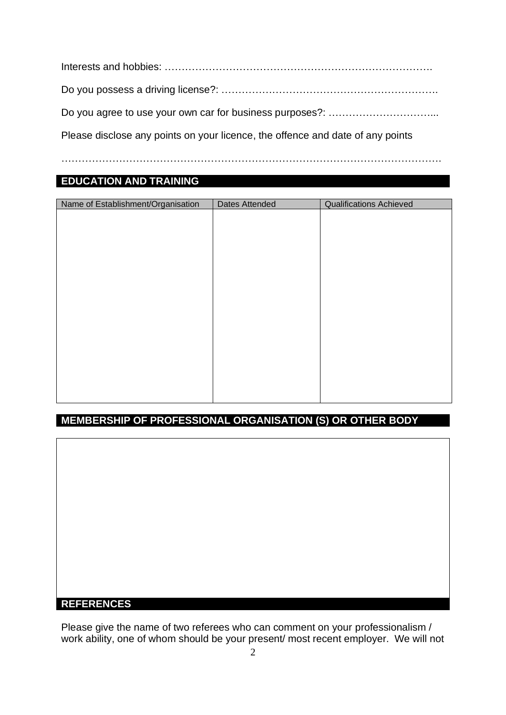Interests and hobbies: ……………………………………………………………………. Do you possess a driving license?: ………………………………………………………. Do you agree to use your own car for business purposes?: …………………………... Please disclose any points on your licence, the offence and date of any points

………………………………………………………………………………………………….

### **EDUCATION AND TRAINING**

| Name of Establishment/Organisation | Dates Attended | <b>Qualifications Achieved</b> |
|------------------------------------|----------------|--------------------------------|
|                                    |                |                                |
|                                    |                |                                |
|                                    |                |                                |
|                                    |                |                                |
|                                    |                |                                |
|                                    |                |                                |
|                                    |                |                                |
|                                    |                |                                |
|                                    |                |                                |
|                                    |                |                                |
|                                    |                |                                |
|                                    |                |                                |
|                                    |                |                                |
|                                    |                |                                |
|                                    |                |                                |
|                                    |                |                                |
|                                    |                |                                |

### **MEMBERSHIP OF PROFESSIONAL ORGANISATION (S) OR OTHER BODY**

#### **REFERENCES**

Please give the name of two referees who can comment on your professionalism / work ability, one of whom should be your present/ most recent employer. We will not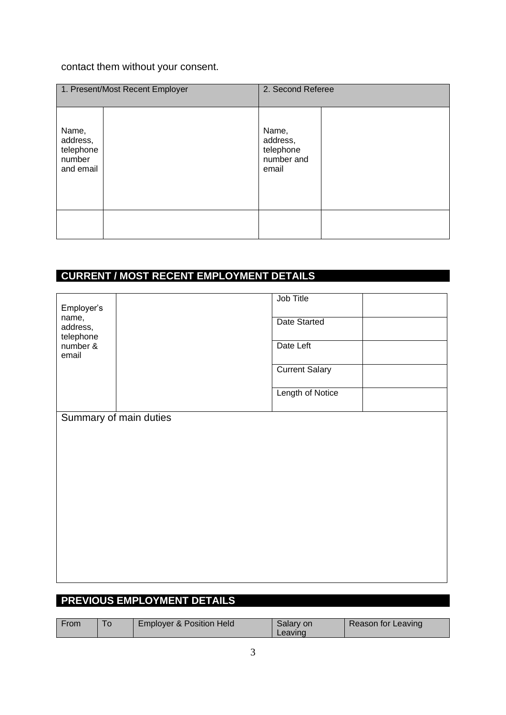## contact them without your consent.

|                                                       | 1. Present/Most Recent Employer | 2. Second Referee                                     |  |
|-------------------------------------------------------|---------------------------------|-------------------------------------------------------|--|
| Name,<br>address,<br>telephone<br>number<br>and email |                                 | Name,<br>address,<br>telephone<br>number and<br>email |  |
|                                                       |                                 |                                                       |  |

# **CURRENT / MOST RECENT EMPLOYMENT DETAILS**

| Employer's<br>name,<br>address,<br>telephone |                        | Job Title<br>Date Started |
|----------------------------------------------|------------------------|---------------------------|
| number &<br>email                            |                        | Date Left                 |
|                                              |                        | <b>Current Salary</b>     |
|                                              |                        | Length of Notice          |
|                                              | Summary of main duties |                           |
|                                              |                        |                           |
|                                              |                        |                           |
|                                              |                        |                           |
|                                              |                        |                           |
|                                              |                        |                           |
|                                              |                        |                           |

### **PREVIOUS EMPLOYMENT DETAILS**

| From | <b>Employer &amp; Position Held</b> | Salary on<br>Leavinc | Reason for Leaving |
|------|-------------------------------------|----------------------|--------------------|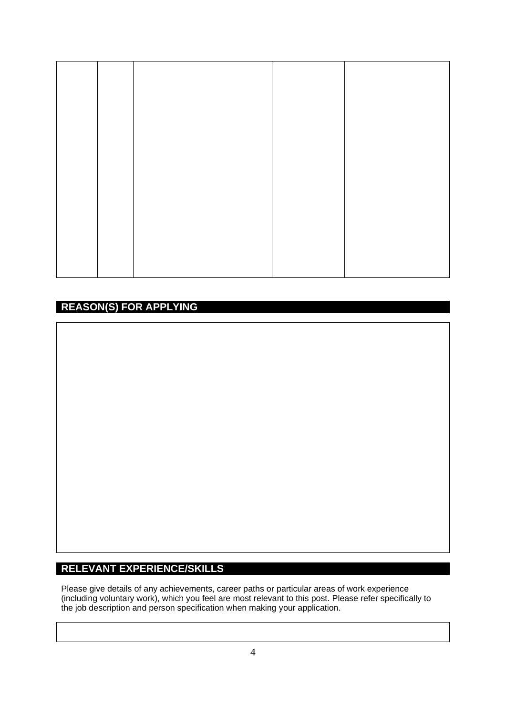## **REASON(S) FOR APPLYING**

### **RELEVANT EXPERIENCE/SKILLS**

Please give details of any achievements, career paths or particular areas of work experience (including voluntary work), which you feel are most relevant to this post. Please refer specifically to the job description and person specification when making your application.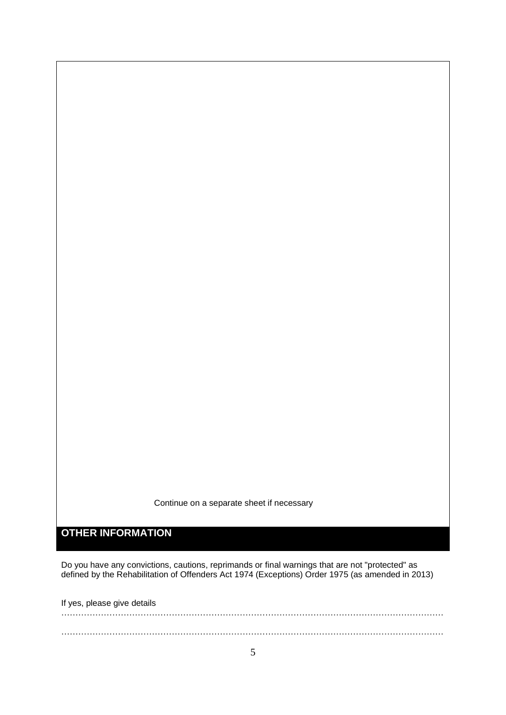Continue on a separate sheet if necessary

**OTHER INFORMATION**

Do you have any convictions, cautions, reprimands or final warnings that are not "protected" as defined by the Rehabilitation of Offenders Act 1974 (Exceptions) Order 1975 (as amended in 2013)

If yes, please give details

……………………………………………………………………………………………………………………… ………………………………………………………………………………………………………………………